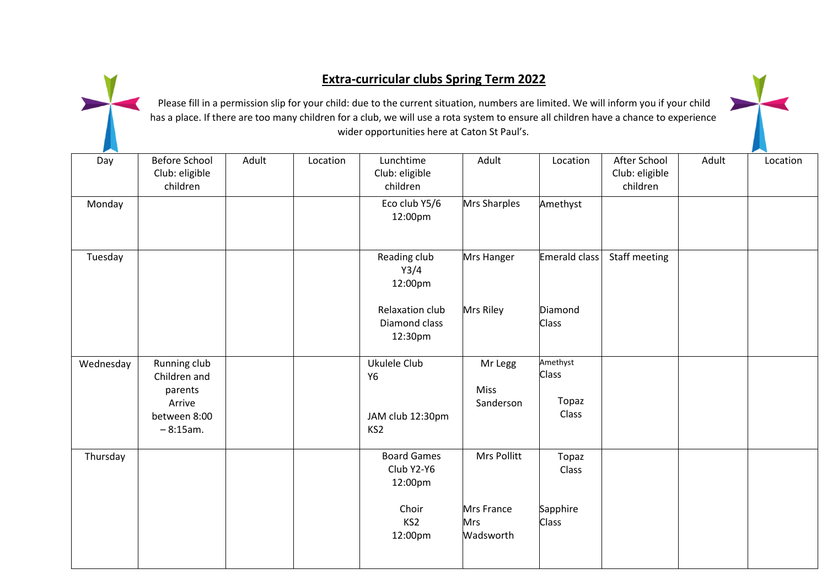## **Extra-curricular clubs Spring Term 2022**

Please fill in a permission slip for your child: due to the current situation, numbers are limited. We will inform you if your child has a place. If there are too many children for a club, we will use a rota system to ensure all children have a chance to experience wider opportunities here at Caton St Paul's.

| Day       | <b>Before School</b><br>Club: eligible<br>children                              | Adult | Location | Lunchtime<br>Club: eligible<br>children                                            | Adult                                                | Location                                   | After School<br>Club: eligible<br>children | Adult | Location |
|-----------|---------------------------------------------------------------------------------|-------|----------|------------------------------------------------------------------------------------|------------------------------------------------------|--------------------------------------------|--------------------------------------------|-------|----------|
| Monday    |                                                                                 |       |          | Eco club Y5/6<br>12:00pm                                                           | Mrs Sharples                                         | Amethyst                                   |                                            |       |          |
| Tuesday   |                                                                                 |       |          | Reading club<br>Y3/4<br>12:00pm                                                    | Mrs Hanger                                           | <b>Emerald class</b>                       | Staff meeting                              |       |          |
|           |                                                                                 |       |          | Relaxation club<br>Diamond class<br>12:30pm                                        | Mrs Riley                                            | Diamond<br><b>Class</b>                    |                                            |       |          |
| Wednesday | Running club<br>Children and<br>parents<br>Arrive<br>between 8:00<br>$-8:15am.$ |       |          | Ukulele Club<br><b>Y6</b><br>JAM club 12:30pm<br>KS <sub>2</sub>                   | Mr Legg<br><b>Miss</b><br>Sanderson                  | Amethyst<br><b>Class</b><br>Topaz<br>Class |                                            |       |          |
| Thursday  |                                                                                 |       |          | <b>Board Games</b><br>Club Y2-Y6<br>12:00pm<br>Choir<br>KS <sub>2</sub><br>12:00pm | Mrs Pollitt<br>Mrs France<br><b>Mrs</b><br>Wadsworth | Topaz<br>Class<br>Sapphire<br><b>Class</b> |                                            |       |          |
|           |                                                                                 |       |          |                                                                                    |                                                      |                                            |                                            |       |          |